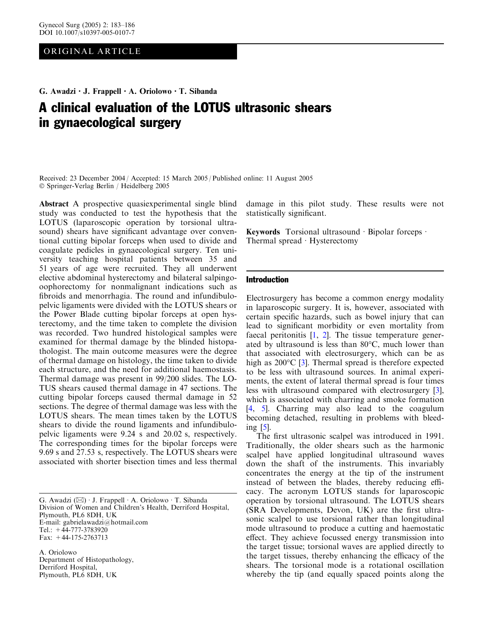# ORIGINAL ARTICLE

# G. Awadzi  $\cdot$  J. Frappell  $\cdot$  A. Oriolowo  $\cdot$  T. Sibanda

# A clinical evaluation of the LOTUS ultrasonic shears in gynaecological surgery

Received: 23 December 2004 / Accepted: 15 March 2005 / Published online: 11 August 2005 Springer-Verlag Berlin / Heidelberg 2005

Abstract A prospective quasiexperimental single blind study was conducted to test the hypothesis that the LOTUS (laparoscopic operation by torsional ultrasound) shears have significant advantage over conventional cutting bipolar forceps when used to divide and coagulate pedicles in gynaecological surgery. Ten university teaching hospital patients between 35 and 51 years of age were recruited. They all underwent elective abdominal hysterectomy and bilateral salpingooophorectomy for nonmalignant indications such as fibroids and menorrhagia. The round and infundibulopelvic ligaments were divided with the LOTUS shears or the Power Blade cutting bipolar forceps at open hysterectomy, and the time taken to complete the division was recorded. Two hundred histological samples were examined for thermal damage by the blinded histopathologist. The main outcome measures were the degree of thermal damage on histology, the time taken to divide each structure, and the need for additional haemostasis. Thermal damage was present in 99/200 slides. The LO-TUS shears caused thermal damage in 47 sections. The cutting bipolar forceps caused thermal damage in 52 sections. The degree of thermal damage was less with the LOTUS shears. The mean times taken by the LOTUS shears to divide the round ligaments and infundibulopelvic ligaments were 9.24 s and 20.02 s, respectively. The corresponding times for the bipolar forceps were 9.69 s and 27.53 s, respectively. The LOTUS shears were associated with shorter bisection times and less thermal

G. Awadzi  $(\boxtimes) \cdot$  J. Frappell  $\cdot$  A. Oriolowo  $\cdot$  T. Sibanda Division of Women and Children's Health, Derriford Hospital, Plymouth, PL6 8DH, UK E-mail: gabrielawadzi@hotmail.com Tel.: +44-777-3783920 Fax: +44-175-2763713

A. Oriolowo Department of Histopathology, Derriford Hospital, Plymouth, PL6 8DH, UK

damage in this pilot study. These results were not statistically significant.

Keywords Torsional ultrasound  $\cdot$  Bipolar forceps  $\cdot$ Thermal spread  $\cdot$  Hysterectomy

#### Introduction

Electrosurgery has become a common energy modality in laparoscopic surgery. It is, however, associated with certain specific hazards, such as bowel injury that can lead to significant morbidity or even mortality from faecal peritonitis  $[1, 2]$  $[1, 2]$  $[1, 2]$  $[1, 2]$  $[1, 2]$ . The tissue temperature generated by ultrasound is less than  $80^{\circ}$ C, much lower than that associated with electrosurgery, which can be as high as  $200^{\circ}$ C [[3\]](#page-3-0). Thermal spread is therefore expected to be less with ultrasound sources. In animal experiments, the extent of lateral thermal spread is four times less with ultrasound compared with electrosurgery [[3\]](#page-3-0), which is associated with charring and smoke formation [\[4](#page-3-0), [5](#page-3-0)]. Charring may also lead to the coagulum becoming detached, resulting in problems with bleeding [[5\]](#page-3-0).

The first ultrasonic scalpel was introduced in 1991. Traditionally, the older shears such as the harmonic scalpel have applied longitudinal ultrasound waves down the shaft of the instruments. This invariably concentrates the energy at the tip of the instrument instead of between the blades, thereby reducing efficacy. The acronym LOTUS stands for laparoscopic operation by torsional ultrasound. The LOTUS shears (SRA Developments, Devon, UK) are the first ultrasonic scalpel to use torsional rather than longitudinal mode ultrasound to produce a cutting and haemostatic effect. They achieve focussed energy transmission into the target tissue; torsional waves are applied directly to the target tissues, thereby enhancing the efficacy of the shears. The torsional mode is a rotational oscillation whereby the tip (and equally spaced points along the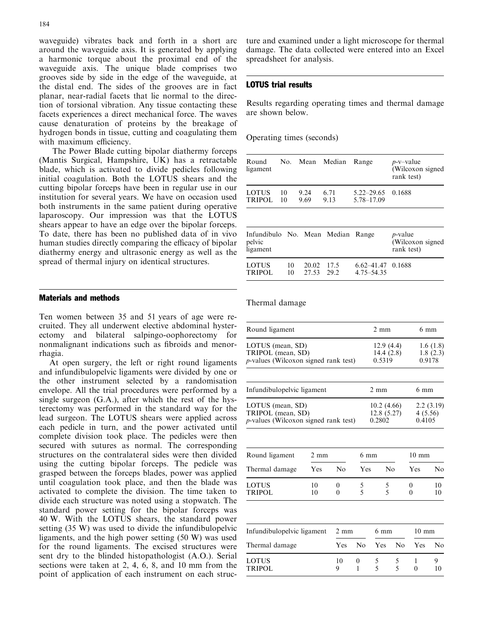waveguide) vibrates back and forth in a short arc around the waveguide axis. It is generated by applying a harmonic torque about the proximal end of the waveguide axis. The unique blade comprises two grooves side by side in the edge of the waveguide, at the distal end. The sides of the grooves are in fact planar, near-radial facets that lie normal to the direction of torsional vibration. Any tissue contacting these facets experiences a direct mechanical force. The waves cause denaturation of proteins by the breakage of hydrogen bonds in tissue, cutting and coagulating them with maximum efficiency.

The Power Blade cutting bipolar diathermy forceps (Mantis Surgical, Hampshire, UK) has a retractable blade, which is activated to divide pedicles following initial coagulation. Both the LOTUS shears and the cutting bipolar forceps have been in regular use in our institution for several years. We have on occasion used both instruments in the same patient during operative laparoscopy. Our impression was that the LOTUS shears appear to have an edge over the bipolar forceps. To date, there has been no published data of in vivo human studies directly comparing the efficacy of bipolar diathermy energy and ultrasonic energy as well as the spread of thermal injury on identical structures.

## Materials and methods

Ten women between 35 and 51 years of age were recruited. They all underwent elective abdominal hysterectomy and bilateral salpingo-oophorectomy for nonmalignant indications such as fibroids and menorrhagia.

At open surgery, the left or right round ligaments and infundibulopelvic ligaments were divided by one or the other instrument selected by a randomisation envelope. All the trial procedures were performed by a single surgeon (G.A.), after which the rest of the hysterectomy was performed in the standard way for the lead surgeon. The LOTUS shears were applied across each pedicle in turn, and the power activated until complete division took place. The pedicles were then secured with sutures as normal. The corresponding structures on the contralateral sides were then divided using the cutting bipolar forceps. The pedicle was grasped between the forceps blades, power was applied until coagulation took place, and then the blade was activated to complete the division. The time taken to divide each structure was noted using a stopwatch. The standard power setting for the bipolar forceps was 40 W. With the LOTUS shears, the standard power setting (35 W) was used to divide the infundibulopelvic ligaments, and the high power setting (50 W) was used for the round ligaments. The excised structures were sent dry to the blinded histopathologist (A.O.). Serial sections were taken at 2, 4, 6, 8, and 10 mm from the point of application of each instrument on each struc-

ture and examined under a light microscope for thermal damage. The data collected were entered into an Excel spreadsheet for analysis.

# LOTUS trial results

Results regarding operating times and thermal damage are shown below.

### Operating times (seconds)

| ligament           |                 |      |      | No. Mean Median Range | $p$ -v-value<br>(Wilcoxon signed<br>rank test) |
|--------------------|-----------------|------|------|-----------------------|------------------------------------------------|
| LOTUS <b>LOTUS</b> | 10              | 9.24 | 6.71 | $5.22 - 29.65$ 0.1688 |                                                |
| <b>TRIPOL</b>      | $\overline{10}$ | 9.69 | 9.13 | 5.78-17.09            |                                                |

| Infundibulo No. Mean Median Range<br>pelvic<br>ligament |          |                     |      |                                       | <i>p</i> -value<br>(Wilcoxon signed<br>rank test) |
|---------------------------------------------------------|----------|---------------------|------|---------------------------------------|---------------------------------------------------|
| <b>LOTUS</b><br><b>TRIPOL</b>                           | 10<br>10 | 20.02 17.5<br>27.53 | 29.2 | $6.62 - 41.47$ 0.1688<br>4.75 - 54.35 |                                                   |

Thermal damage

| Round ligament                                                                        |                | $2 \text{ mm}$                   | $6 \text{ mm}$                 |                                    |                 |                   |                |
|---------------------------------------------------------------------------------------|----------------|----------------------------------|--------------------------------|------------------------------------|-----------------|-------------------|----------------|
| LOTUS (mean, SD)<br>TRIPOL (mean, SD)<br><i>p</i> -values (Wilcoxon signed rank test) |                | 12.9(4.4)<br>14.4(2.8)<br>0.5319 | 1.6(1.8)<br>1.8(2.3)<br>0.9178 |                                    |                 |                   |                |
|                                                                                       |                |                                  |                                |                                    |                 |                   |                |
| Infundibulopelvic ligament                                                            |                | $2 \text{ mm}$                   |                                | $6 \text{ mm}$                     |                 |                   |                |
| LOTUS (mean, SD)<br>TRIPOL (mean, SD)<br><i>p</i> -values (Wilcoxon signed rank test) |                |                                  |                                | 10.2(4.66)<br>12.8(5.27)<br>0.2802 |                 | 4(5.56)<br>0.4105 | 2.2(3.19)      |
|                                                                                       |                |                                  |                                |                                    |                 |                   |                |
| Round ligament                                                                        | $2 \text{ mm}$ |                                  | $6 \text{ mm}$                 |                                    |                 | $10 \text{ mm}$   |                |
| Thermal damage                                                                        | Yes            | No                               | Yes                            | No                                 |                 | Yes               | N <sub>0</sub> |
| LOTUS<br>TRIPOL                                                                       | 10<br>10       | $\theta$<br>$\theta$             | 5<br>5                         | 5<br>$\overline{5}$                |                 | 0<br>0            | 10<br>10       |
|                                                                                       |                |                                  |                                |                                    |                 |                   |                |
| Infundibulopelvic ligament                                                            | 2 mm           |                                  | $6 \text{ mm}$                 |                                    | $10 \text{ mm}$ |                   |                |
| Thermal damage                                                                        |                | Yes                              | No                             | Yes                                | No              | Yes               | No             |
|                                                                                       |                |                                  |                                |                                    |                 |                   |                |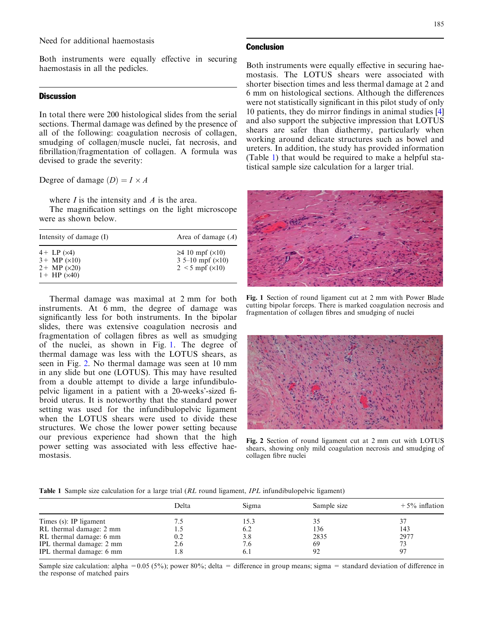Both instruments were equally effective in securing haemostasis in all the pedicles.

## **Discussion**

In total there were 200 histological slides from the serial sections. Thermal damage was defined by the presence of all of the following: coagulation necrosis of collagen, smudging of collagen/muscle nuclei, fat necrosis, and fibrillation/fragmentation of collagen. A formula was devised to grade the severity:

Degree of damage  $(D) = I \times A$ 

where  $I$  is the intensity and  $\Lambda$  is the area.

The magnification settings on the light microscope were as shown below.

| Intensity of damage (I)                                                                     | Area of damage $(A)$                                                               |  |  |  |
|---------------------------------------------------------------------------------------------|------------------------------------------------------------------------------------|--|--|--|
| $4 + LP (x4)$<br>$3+$ MP ( $\times$ 10)<br>$2+$ MP ( $\times$ 20)<br>$1+$ HP ( $\times$ 40) | $\geq$ 4 10 mpf ( $\times$ 10)<br>3 5–10 mpf $(x10)$<br>$2 < 5$ mpf ( $\times$ 10) |  |  |  |

Thermal damage was maximal at 2 mm for both instruments. At 6 mm, the degree of damage was significantly less for both instruments. In the bipolar slides, there was extensive coagulation necrosis and fragmentation of collagen fibres as well as smudging of the nuclei, as shown in Fig. 1. The degree of thermal damage was less with the LOTUS shears, as seen in Fig. 2. No thermal damage was seen at 10 mm in any slide but one (LOTUS). This may have resulted from a double attempt to divide a large infundibulopelvic ligament in a patient with a 20-weeks'-sized fibroid uterus. It is noteworthy that the standard power setting was used for the infundibulopelvic ligament when the LOTUS shears were used to divide these structures. We chose the lower power setting because our previous experience had shown that the high power setting was associated with less effective haemostasis.

#### **Conclusion**

Both instruments were equally effective in securing haemostasis. The LOTUS shears were associated with shorter bisection times and less thermal damage at 2 and 6 mm on histological sections. Although the differences were not statistically significant in this pilot study of only 10 patients, they do mirror findings in animal studies [\[4](#page-3-0)] and also support the subjective impression that LOTUS shears are safer than diathermy, particularly when working around delicate structures such as bowel and ureters. In addition, the study has provided information (Table 1) that would be required to make a helpful statistical sample size calculation for a larger trial.



Fig. 1 Section of round ligament cut at 2 mm with Power Blade cutting bipolar forceps. There is marked coagulation necrosis and fragmentation of collagen fibres and smudging of nuclei



Fig. 2 Section of round ligament cut at 2 mm cut with LOTUS shears, showing only mild coagulation necrosis and smudging of collagen fibre nuclei

|  |  |  |  |  | <b>Table 1</b> Sample size calculation for a large trial (RL round ligament, <i>IPL</i> infundibulopelvic ligament) |  |  |  |
|--|--|--|--|--|---------------------------------------------------------------------------------------------------------------------|--|--|--|
|--|--|--|--|--|---------------------------------------------------------------------------------------------------------------------|--|--|--|

|                          | Delta | Sigma | Sample size | $+5\%$ inflation |
|--------------------------|-------|-------|-------------|------------------|
| Times (s): IP ligament   |       | 15.3  |             |                  |
| RL thermal damage: 2 mm  |       | 6.2   | 136         | 143              |
| RL thermal damage: 6 mm  |       | 3.8   | 2835        | 2977             |
| IPL thermal damage: 2 mm | 2.6   | 7.6   | 69          |                  |
| IPL thermal damage: 6 mm |       | 0.1   | 92          |                  |

Sample size calculation: alpha =  $0.05$  (5%); power 80%; delta = difference in group means; sigma = standard deviation of difference in the response of matched pairs